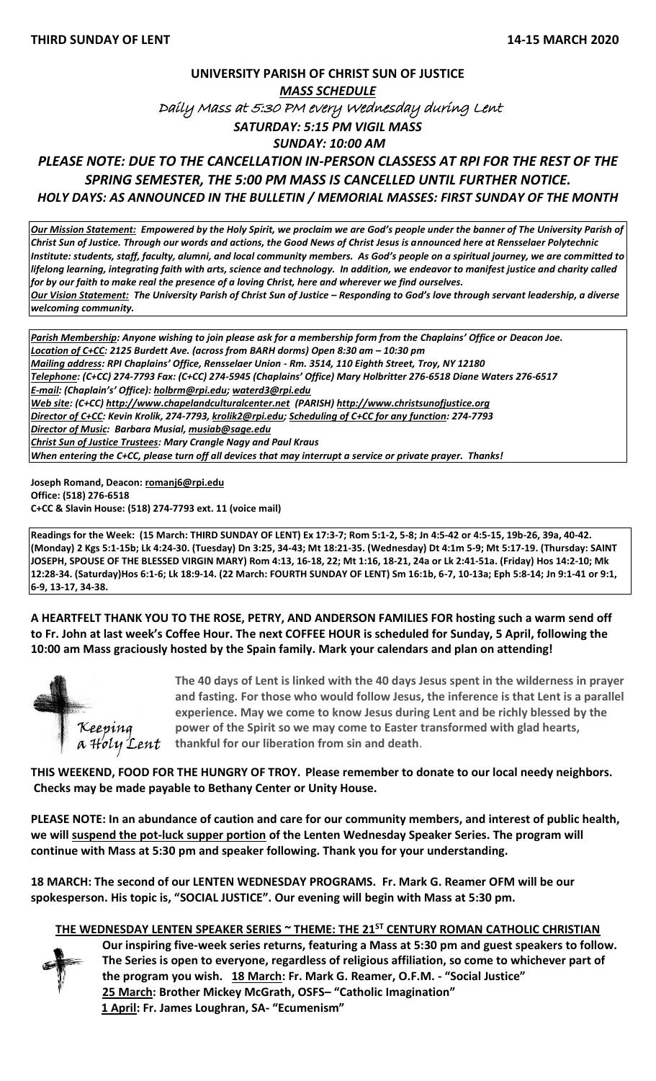# **UNIVERSITY PARISH OF CHRIST SUN OF JUSTICE** *MASS SCHEDULE*  Daily Mass at 5:30 PM every Wednesday during Lent *SATURDAY: 5:15 PM VIGIL MASS SUNDAY: 10:00 AM*

# *PLEASE NOTE: DUE TO THE CANCELLATION IN-PERSON CLASSESS AT RPI FOR THE REST OF THE SPRING SEMESTER, THE 5:00 PM MASS IS CANCELLED UNTIL FURTHER NOTICE. HOLY DAYS: AS ANNOUNCED IN THE BULLETIN / MEMORIAL MASSES: FIRST SUNDAY OF THE MONTH*

*Our Mission Statement:**Empowered by the Holy Spirit, we proclaim we are God's people under the banner of The University Parish of Christ Sun of Justice. Through our words and actions, the Good News of Christ Jesus is announced here at Rensselaer Polytechnic Institute: students, staff, faculty, alumni, and local community members. As God's people on a spiritual journey, we are committed to lifelong learning, integrating faith with arts, science and technology. In addition, we endeavor to manifest justice and charity called for by our faith to make real the presence of a loving Christ, here and wherever we find ourselves. Our Vision Statement: The University Parish of Christ Sun of Justice – Responding to God's love through servant leadership, a diverse welcoming community.*

*Parish Membership: Anyone wishing to join please ask for a membership form from the Chaplains' Office or Deacon Joe. Location of C+CC: 2125 Burdett Ave. (across from BARH dorms) Open 8:30 am – 10:30 pm Mailing address: RPI Chaplains' Office, Rensselaer Union - Rm. 3514, 110 Eighth Street, Troy, NY 12180 Telephone: (C+CC) 274-7793 Fax: (C+CC) 274-5945 (Chaplains' Office) Mary Holbritter 276-6518 Diane Waters 276-6517 E-mail: (Chaplain's' Office): [holbrm@rpi.edu;](mailto:holbrm@rpi.edu) waterd3@rpi.edu Web site: (C+CC) [http://www.chapelandculturalcenter.net](http://www.chapelandculturalcenter.net/) (PARISH) http://www.christsunofjustice.org Director of C+CC: Kevin Krolik, 274-7793, krolik2@rpi.edu; Scheduling of C+CC for any function: 274-7793 Director of Music: Barbara Musial, [musiab@sage.edu](mailto:musiab@sage.edu) Christ Sun of Justice Trustees: Mary Crangle Nagy and Paul Kraus When entering the C+CC, please turn off all devices that may interrupt a service or private prayer. Thanks!* 

**Joseph Romand, Deacon[: romanj6@rpi.edu](mailto:romanj6@rpi.edu) Office: (518) 276-6518 C+CC & Slavin House: (518) 274-7793 ext. 11 (voice mail)**

**Readings for the Week: (15 March: THIRD SUNDAY OF LENT) Ex 17:3-7; Rom 5:1-2, 5-8; Jn 4:5-42 or 4:5-15, 19b-26, 39a, 40-42. (Monday) 2 Kgs 5:1-15b; Lk 4:24-30. (Tuesday) Dn 3:25, 34-43; Mt 18:21-35. (Wednesday) Dt 4:1m 5-9; Mt 5:17-19. (Thursday: SAINT JOSEPH, SPOUSE OF THE BLESSED VIRGIN MARY) Rom 4:13, 16-18, 22; Mt 1:16, 18-21, 24a or Lk 2:41-51a. (Friday) Hos 14:2-10; Mk 12:28-34. (Saturday)Hos 6:1-6; Lk 18:9-14. (22 March: FOURTH SUNDAY OF LENT) Sm 16:1b, 6-7, 10-13a; Eph 5:8-14; Jn 9:1-41 or 9:1, 6-9, 13-17, 34-38.**

**A HEARTFELT THANK YOU TO THE ROSE, PETRY, AND ANDERSON FAMILIES FOR hosting such a warm send off to Fr. John at last week's Coffee Hour. The next COFFEE HOUR is scheduled for Sunday, 5 April, following the 10:00 am Mass graciously hosted by the Spain family. Mark your calendars and plan on attending!** 



**The 40 days of Lent is linked with the 40 days Jesus spent in the wilderness in prayer and fasting. For those who would follow Jesus, the inference is that Lent is a parallel experience. May we come to know Jesus during Lent and be richly blessed by the power of the Spirit so we may come to Easter transformed with glad hearts,**   $\alpha$   $\text{H}'$ *oly*  $\text{Cent}$  thankful for our liberation from sin and death.

**THIS WEEKEND, FOOD FOR THE HUNGRY OF TROY. Please remember to donate to our local needy neighbors. Checks may be made payable to Bethany Center or Unity House.**

**PLEASE NOTE: In an abundance of caution and care for our community members, and interest of public health, we will suspend the pot-luck supper portion of the Lenten Wednesday Speaker Series. The program will continue with Mass at 5:30 pm and speaker following. Thank you for your understanding.**

**18 MARCH: The second of our LENTEN WEDNESDAY PROGRAMS. Fr. Mark G. Reamer OFM will be our spokesperson. His topic is, "SOCIAL JUSTICE". Our evening will begin with Mass at 5:30 pm.** 

#### **THE WEDNESDAY LENTEN SPEAKER SERIES ~ THEME: THE 21ST CENTURY ROMAN CATHOLIC CHRISTIAN**

**Our inspiring five-week series returns, featuring a Mass at 5:30 pm and guest speakers to follow. The Series is open to everyone, regardless of religious affiliation, so come to whichever part of the program you wish. 18 March: Fr. Mark G. Reamer, O.F.M. - "Social Justice" 25 March: Brother Mickey McGrath, OSFS– "Catholic Imagination" 1 April: Fr. James Loughran, SA- "Ecumenism"**